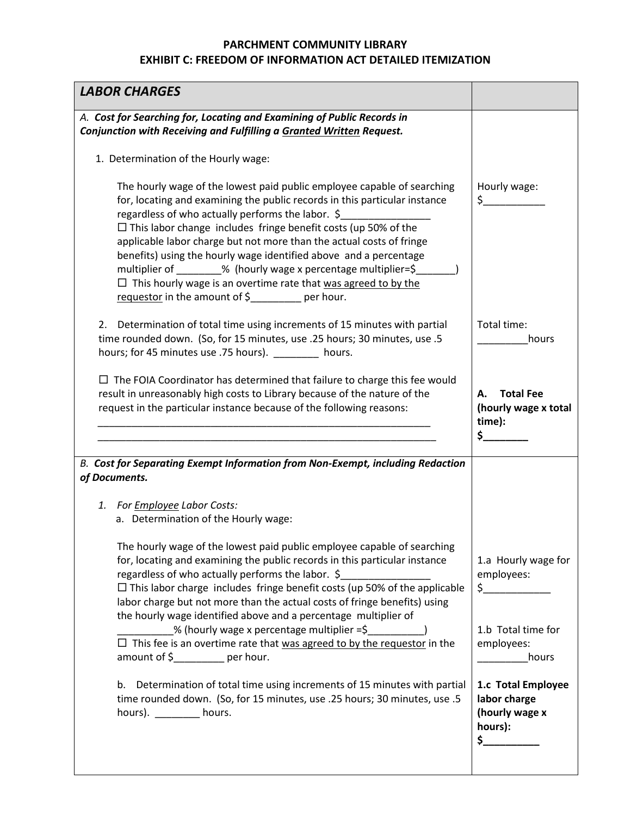| <b>LABOR CHARGES</b>                                                                                                                                                                                                                                                                                                                                                                                                                                                                                                                                                                                                               |                                                                        |
|------------------------------------------------------------------------------------------------------------------------------------------------------------------------------------------------------------------------------------------------------------------------------------------------------------------------------------------------------------------------------------------------------------------------------------------------------------------------------------------------------------------------------------------------------------------------------------------------------------------------------------|------------------------------------------------------------------------|
| A. Cost for Searching for, Locating and Examining of Public Records in<br>Conjunction with Receiving and Fulfilling a Granted Written Request.                                                                                                                                                                                                                                                                                                                                                                                                                                                                                     |                                                                        |
| 1. Determination of the Hourly wage:                                                                                                                                                                                                                                                                                                                                                                                                                                                                                                                                                                                               |                                                                        |
| The hourly wage of the lowest paid public employee capable of searching<br>for, locating and examining the public records in this particular instance<br>regardless of who actually performs the labor. \$<br>$\Box$ This labor change includes fringe benefit costs (up 50% of the<br>applicable labor charge but not more than the actual costs of fringe<br>benefits) using the hourly wage identified above and a percentage<br>multiplier of ________% (hourly wage x percentage multiplier=\$<br>$\Box$ This hourly wage is an overtime rate that was agreed to by the<br>requestor in the amount of $\frac{1}{2}$ per hour. | Hourly wage:<br>$\zeta$                                                |
| Determination of total time using increments of 15 minutes with partial<br>2.<br>time rounded down. (So, for 15 minutes, use .25 hours; 30 minutes, use .5<br>hours; for 45 minutes use .75 hours). _________ hours.                                                                                                                                                                                                                                                                                                                                                                                                               | Total time:<br>hours                                                   |
| $\Box$ The FOIA Coordinator has determined that failure to charge this fee would<br>result in unreasonably high costs to Library because of the nature of the<br>request in the particular instance because of the following reasons:                                                                                                                                                                                                                                                                                                                                                                                              | <b>Total Fee</b><br>А.<br>(hourly wage x total<br>time):<br>\$         |
| B. Cost for Separating Exempt Information from Non-Exempt, including Redaction<br>of Documents.                                                                                                                                                                                                                                                                                                                                                                                                                                                                                                                                    |                                                                        |
| 1. For <b>Employee</b> Labor Costs:<br>a. Determination of the Hourly wage:                                                                                                                                                                                                                                                                                                                                                                                                                                                                                                                                                        |                                                                        |
| The hourly wage of the lowest paid public employee capable of searching<br>for, locating and examining the public records in this particular instance<br>regardless of who actually performs the labor. \$<br>$\Box$ This labor charge includes fringe benefit costs (up 50% of the applicable<br>labor charge but not more than the actual costs of fringe benefits) using<br>the hourly wage identified above and a percentage multiplier of                                                                                                                                                                                     | 1.a Hourly wage for<br>employees:<br>$\zeta$                           |
| % (hourly wage x percentage multiplier =\$<br>$\Box$ This fee is an overtime rate that was agreed to by the requestor in the<br>amount of $\frac{2}{5}$ per hour.                                                                                                                                                                                                                                                                                                                                                                                                                                                                  | 1.b Total time for<br>employees:<br>hours                              |
| b.<br>Determination of total time using increments of 15 minutes with partial<br>time rounded down. (So, for 15 minutes, use .25 hours; 30 minutes, use .5<br>hours). $\frac{1}{2}$ hours.                                                                                                                                                                                                                                                                                                                                                                                                                                         | 1.c Total Employee<br>labor charge<br>(hourly wage x<br>hours):<br>\$_ |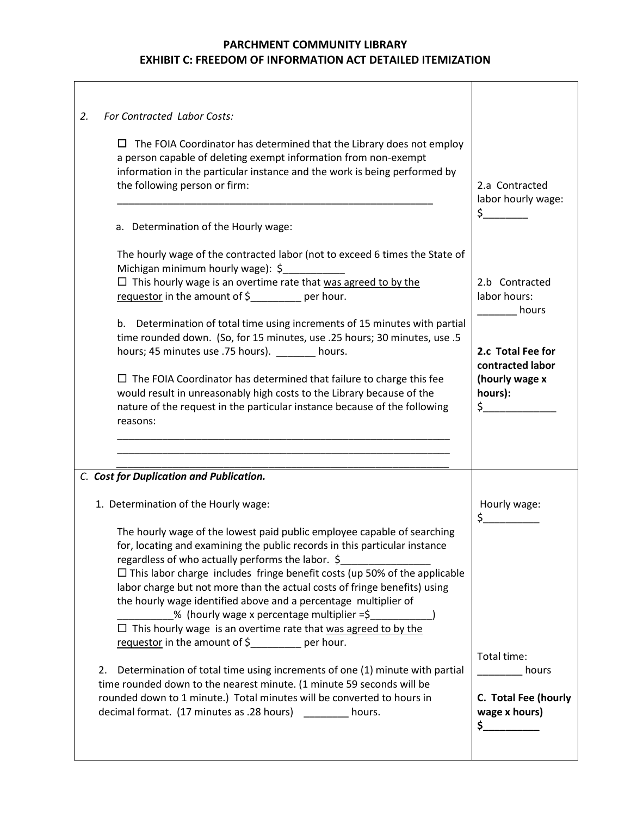| For Contracted Labor Costs:<br>2.                                                                                                                                                                                                                                                                                                                                                                                                                                                                                                                                                                                                                                                                                                                                                                                                                                                                                                 |                                                                              |
|-----------------------------------------------------------------------------------------------------------------------------------------------------------------------------------------------------------------------------------------------------------------------------------------------------------------------------------------------------------------------------------------------------------------------------------------------------------------------------------------------------------------------------------------------------------------------------------------------------------------------------------------------------------------------------------------------------------------------------------------------------------------------------------------------------------------------------------------------------------------------------------------------------------------------------------|------------------------------------------------------------------------------|
| The FOIA Coordinator has determined that the Library does not employ<br>ப<br>a person capable of deleting exempt information from non-exempt<br>information in the particular instance and the work is being performed by<br>the following person or firm:<br>a. Determination of the Hourly wage:                                                                                                                                                                                                                                                                                                                                                                                                                                                                                                                                                                                                                                | 2.a Contracted<br>labor hourly wage:<br>$\zeta$ , we have the set of $\zeta$ |
|                                                                                                                                                                                                                                                                                                                                                                                                                                                                                                                                                                                                                                                                                                                                                                                                                                                                                                                                   |                                                                              |
| The hourly wage of the contracted labor (not to exceed 6 times the State of<br>Michigan minimum hourly wage): \$                                                                                                                                                                                                                                                                                                                                                                                                                                                                                                                                                                                                                                                                                                                                                                                                                  |                                                                              |
| $\Box$ This hourly wage is an overtime rate that was agreed to by the<br>requestor in the amount of \$________ per hour.                                                                                                                                                                                                                                                                                                                                                                                                                                                                                                                                                                                                                                                                                                                                                                                                          | 2.b Contracted<br>labor hours:<br>hours                                      |
| b. Determination of total time using increments of 15 minutes with partial<br>time rounded down. (So, for 15 minutes, use .25 hours; 30 minutes, use .5<br>hours; 45 minutes use .75 hours). ________ hours.                                                                                                                                                                                                                                                                                                                                                                                                                                                                                                                                                                                                                                                                                                                      | 2.c Total Fee for                                                            |
| $\Box$ The FOIA Coordinator has determined that failure to charge this fee<br>would result in unreasonably high costs to the Library because of the<br>nature of the request in the particular instance because of the following<br>reasons:                                                                                                                                                                                                                                                                                                                                                                                                                                                                                                                                                                                                                                                                                      | contracted labor<br>(hourly wage x<br>hours):<br>$\zeta$ and $\zeta$         |
|                                                                                                                                                                                                                                                                                                                                                                                                                                                                                                                                                                                                                                                                                                                                                                                                                                                                                                                                   |                                                                              |
| C. Cost for Duplication and Publication.                                                                                                                                                                                                                                                                                                                                                                                                                                                                                                                                                                                                                                                                                                                                                                                                                                                                                          |                                                                              |
| 1. Determination of the Hourly wage:                                                                                                                                                                                                                                                                                                                                                                                                                                                                                                                                                                                                                                                                                                                                                                                                                                                                                              | Hourly wage:<br>\$                                                           |
| The hourly wage of the lowest paid public employee capable of searching<br>for, locating and examining the public records in this particular instance<br>regardless of who actually performs the labor. \$<br>$\Box$ This labor charge includes fringe benefit costs (up 50% of the applicable<br>labor charge but not more than the actual costs of fringe benefits) using<br>the hourly wage identified above and a percentage multiplier of<br>% (hourly wage x percentage multiplier =\$<br>$\Box$ This hourly wage is an overtime rate that was agreed to by the<br>requestor in the amount of $\frac{1}{2}$ per hour.<br>Determination of total time using increments of one (1) minute with partial<br>2.<br>time rounded down to the nearest minute. (1 minute 59 seconds will be<br>rounded down to 1 minute.) Total minutes will be converted to hours in<br>decimal format. (17 minutes as .28 hours) _________ hours. | Total time:<br>hours<br>C. Total Fee (hourly<br>wage x hours)<br>\$_         |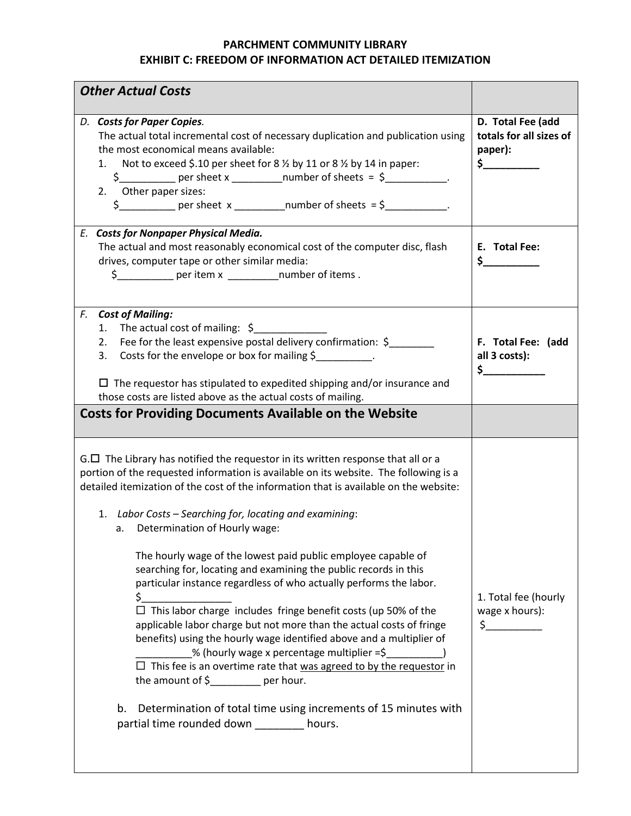| <b>Other Actual Costs</b>                                                                                                                                                                                                                                                                                                                                                                                                                                                                                                                                                                                                                                                                                                                                                                                                                                                                                                                                                                                                                                                                                   |                                                                                                                                                                                                                                                                                                                                                                              |
|-------------------------------------------------------------------------------------------------------------------------------------------------------------------------------------------------------------------------------------------------------------------------------------------------------------------------------------------------------------------------------------------------------------------------------------------------------------------------------------------------------------------------------------------------------------------------------------------------------------------------------------------------------------------------------------------------------------------------------------------------------------------------------------------------------------------------------------------------------------------------------------------------------------------------------------------------------------------------------------------------------------------------------------------------------------------------------------------------------------|------------------------------------------------------------------------------------------------------------------------------------------------------------------------------------------------------------------------------------------------------------------------------------------------------------------------------------------------------------------------------|
| D. Costs for Paper Copies.<br>The actual total incremental cost of necessary duplication and publication using<br>the most economical means available:<br>Not to exceed \$.10 per sheet for 8 % by 11 or 8 % by 14 in paper:<br>1.<br>2. Other paper sizes:                                                                                                                                                                                                                                                                                                                                                                                                                                                                                                                                                                                                                                                                                                                                                                                                                                                 | D. Total Fee (add<br>totals for all sizes of<br>paper):<br>$\mathsf{s}$ 2008 $\mathsf{s}$ 2008 $\mathsf{s}$ 2008 $\mathsf{s}$ 2008 $\mathsf{s}$ 2008 $\mathsf{s}$ 2008 $\mathsf{s}$ 2008 $\mathsf{s}$ 2008 $\mathsf{s}$ 2008 $\mathsf{s}$ 2008 $\mathsf{s}$ 2008 $\mathsf{s}$ 2008 $\mathsf{s}$ 2008 $\mathsf{s}$ 2008 $\mathsf{s}$ 2008 $\mathsf{s}$ 2008 $\mathsf{s}$ 2008 |
| E. Costs for Nonpaper Physical Media.<br>The actual and most reasonably economical cost of the computer disc, flash<br>drives, computer tape or other similar media:<br>\$ ____________ per item x ____________ number of items.                                                                                                                                                                                                                                                                                                                                                                                                                                                                                                                                                                                                                                                                                                                                                                                                                                                                            | E. Total Fee:<br>$\frac{\xi}{\xi}$                                                                                                                                                                                                                                                                                                                                           |
| F.<br><b>Cost of Mailing:</b><br>The actual cost of mailing: $\oint$<br>1.<br>Fee for the least expensive postal delivery confirmation: \$<br>2.<br>Costs for the envelope or box for mailing \$<br>3.<br>$\Box$ The requestor has stipulated to expedited shipping and/or insurance and<br>those costs are listed above as the actual costs of mailing.                                                                                                                                                                                                                                                                                                                                                                                                                                                                                                                                                                                                                                                                                                                                                    | F. Total Fee: (add<br>all 3 costs):<br>$\sim$                                                                                                                                                                                                                                                                                                                                |
| <b>Costs for Providing Documents Available on the Website</b>                                                                                                                                                                                                                                                                                                                                                                                                                                                                                                                                                                                                                                                                                                                                                                                                                                                                                                                                                                                                                                               |                                                                                                                                                                                                                                                                                                                                                                              |
| $G.\Box$ The Library has notified the requestor in its written response that all or a<br>portion of the requested information is available on its website. The following is a<br>detailed itemization of the cost of the information that is available on the website:<br>1. Labor Costs – Searching for, locating and examining:<br>a. Determination of Hourly wage:<br>The hourly wage of the lowest paid public employee capable of<br>searching for, locating and examining the public records in this<br>particular instance regardless of who actually performs the labor.<br>\$_<br>$\Box$ This labor charge includes fringe benefit costs (up 50% of the<br>applicable labor charge but not more than the actual costs of fringe<br>benefits) using the hourly wage identified above and a multiplier of<br>% (hourly wage x percentage multiplier =\$<br>$\Box$ This fee is an overtime rate that was agreed to by the requestor in<br>the amount of $\frac{2}{3}$ per hour.<br>Determination of total time using increments of 15 minutes with<br>b.<br>partial time rounded down ________ hours. | 1. Total fee (hourly<br>wage x hours):<br>$\frac{1}{2}$                                                                                                                                                                                                                                                                                                                      |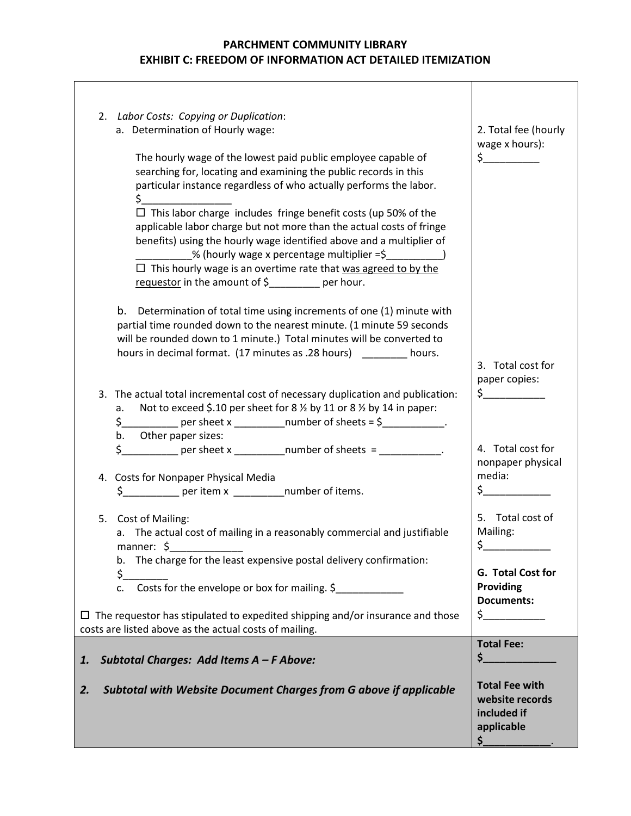$\overline{\phantom{a}}$ 

| 2. Labor Costs: Copying or Duplication:<br>a. Determination of Hourly wage:<br>The hourly wage of the lowest paid public employee capable of<br>searching for, locating and examining the public records in this<br>particular instance regardless of who actually performs the labor.<br>$\sharp$ and $\sharp$                                                                                               | 2. Total fee (hourly<br>wage x hours):<br>$\frac{1}{2}$                                                            |
|---------------------------------------------------------------------------------------------------------------------------------------------------------------------------------------------------------------------------------------------------------------------------------------------------------------------------------------------------------------------------------------------------------------|--------------------------------------------------------------------------------------------------------------------|
| $\Box$ This labor charge includes fringe benefit costs (up 50% of the<br>applicable labor charge but not more than the actual costs of fringe<br>benefits) using the hourly wage identified above and a multiplier of<br>_% (hourly wage x percentage multiplier =\$____________)<br>$\Box$ This hourly wage is an overtime rate that was agreed to by the<br>requestor in the amount of \$________ per hour. |                                                                                                                    |
| b.<br>Determination of total time using increments of one (1) minute with<br>partial time rounded down to the nearest minute. (1 minute 59 seconds<br>will be rounded down to 1 minute.) Total minutes will be converted to<br>hours in decimal format. (17 minutes as .28 hours) _______ hours.                                                                                                              | 3. Total cost for<br>paper copies:                                                                                 |
| 3. The actual total incremental cost of necessary duplication and publication:<br>Not to exceed \$.10 per sheet for 8 % by 11 or 8 % by 14 in paper:<br>а.<br>$\frac{1}{2}$ per sheet x _______________number of sheets = \$____________.<br>$\zeta_{--}$<br>Other paper sizes:<br>b.<br>$$$ ____________ per sheet x ____________ number of sheets = ____________.                                           | $\frac{1}{2}$<br>4. Total cost for<br>nonpaper physical                                                            |
| 4. Costs for Nonpaper Physical Media<br>\$_____________ per item x ______________number of items.                                                                                                                                                                                                                                                                                                             | media:<br>$\zeta$                                                                                                  |
| 5. Cost of Mailing:<br>a. The actual cost of mailing in a reasonably commercial and justifiable<br>manner: \$<br>The charge for the least expensive postal delivery confirmation:<br>b.<br>\$_<br>Costs for the envelope or box for mailing. \$<br>c.                                                                                                                                                         | 5. Total cost of<br>Mailing:<br>\$_<br>G. Total Cost for<br>Providing                                              |
| $\Box$ The requestor has stipulated to expedited shipping and/or insurance and those<br>costs are listed above as the actual costs of mailing.                                                                                                                                                                                                                                                                | <b>Documents:</b><br>$\zeta$                                                                                       |
| Subtotal Charges: Add Items A - F Above:<br>1.<br>Subtotal with Website Document Charges from G above if applicable<br>2.                                                                                                                                                                                                                                                                                     | <b>Total Fee:</b><br>$\mathsf{S}_-$<br><b>Total Fee with</b><br>website records<br>included if<br>applicable<br>\$ |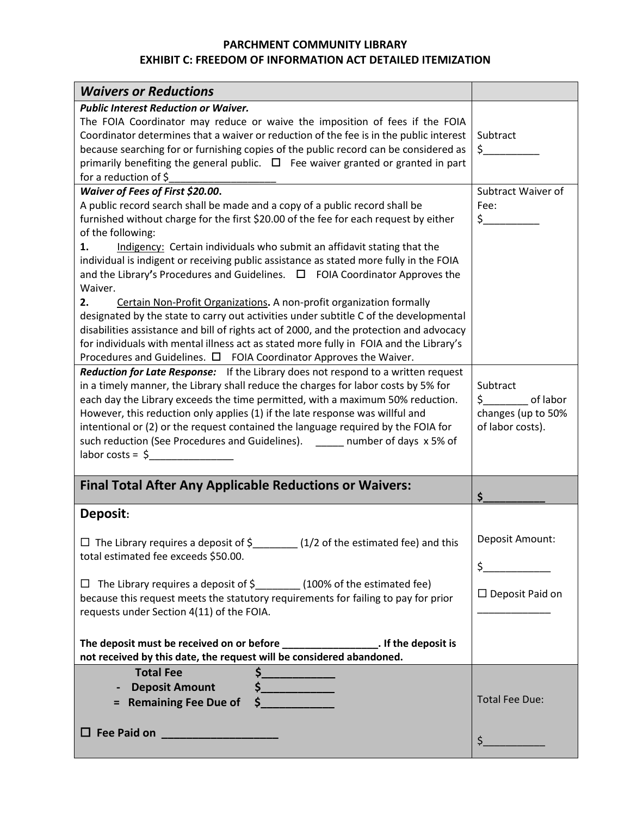| <b>Waivers or Reductions</b>                                                                                                                                                     |                                      |
|----------------------------------------------------------------------------------------------------------------------------------------------------------------------------------|--------------------------------------|
| <b>Public Interest Reduction or Waiver.</b>                                                                                                                                      |                                      |
| The FOIA Coordinator may reduce or waive the imposition of fees if the FOIA                                                                                                      |                                      |
| Coordinator determines that a waiver or reduction of the fee is in the public interest                                                                                           | Subtract                             |
| because searching for or furnishing copies of the public record can be considered as                                                                                             | $\zeta$ , we have the set of $\zeta$ |
| primarily benefiting the general public. $\Box$ Fee waiver granted or granted in part<br>for a reduction of \$                                                                   |                                      |
| Waiver of Fees of First \$20.00.                                                                                                                                                 | Subtract Waiver of                   |
| A public record search shall be made and a copy of a public record shall be                                                                                                      | Fee:                                 |
| furnished without charge for the first \$20.00 of the fee for each request by either                                                                                             | $\frac{1}{2}$                        |
| of the following:                                                                                                                                                                |                                      |
| Indigency: Certain individuals who submit an affidavit stating that the<br>1.                                                                                                    |                                      |
| individual is indigent or receiving public assistance as stated more fully in the FOIA                                                                                           |                                      |
| and the Library's Procedures and Guidelines. $\Box$ FOIA Coordinator Approves the                                                                                                |                                      |
| Waiver.                                                                                                                                                                          |                                      |
| Certain Non-Profit Organizations. A non-profit organization formally<br>2.                                                                                                       |                                      |
| designated by the state to carry out activities under subtitle C of the developmental<br>disabilities assistance and bill of rights act of 2000, and the protection and advocacy |                                      |
| for individuals with mental illness act as stated more fully in FOIA and the Library's                                                                                           |                                      |
| Procedures and Guidelines. $\Box$ FOIA Coordinator Approves the Waiver.                                                                                                          |                                      |
| Reduction for Late Response: If the Library does not respond to a written request                                                                                                |                                      |
| in a timely manner, the Library shall reduce the charges for labor costs by 5% for                                                                                               | Subtract                             |
| each day the Library exceeds the time permitted, with a maximum 50% reduction.                                                                                                   | \$ of labor                          |
| However, this reduction only applies (1) if the late response was willful and                                                                                                    | changes (up to 50%                   |
| intentional or (2) or the request contained the language required by the FOIA for                                                                                                | of labor costs).                     |
| such reduction (See Procedures and Guidelines). _____ number of days x 5% of<br>$labor costs = $$                                                                                |                                      |
|                                                                                                                                                                                  |                                      |
|                                                                                                                                                                                  |                                      |
| <b>Final Total After Any Applicable Reductions or Waivers:</b>                                                                                                                   |                                      |
|                                                                                                                                                                                  | \$.                                  |
| Deposit:                                                                                                                                                                         |                                      |
|                                                                                                                                                                                  |                                      |
| $\Box$ The Library requires a deposit of \$_______(1/2 of the estimated fee) and this                                                                                            | Deposit Amount:                      |
| total estimated fee exceeds \$50.00.                                                                                                                                             | $\frac{1}{2}$                        |
| $\Box$ The Library requires a deposit of $\Diamond$ (100% of the estimated fee)                                                                                                  |                                      |
| because this request meets the statutory requirements for failing to pay for prior                                                                                               | $\Box$ Deposit Paid on               |
| requests under Section 4(11) of the FOIA.                                                                                                                                        |                                      |
|                                                                                                                                                                                  |                                      |
| The deposit must be received on or before __________________. If the deposit is                                                                                                  |                                      |
| not received by this date, the request will be considered abandoned.                                                                                                             |                                      |
| <b>Total Fee</b><br>$\frac{1}{2}$                                                                                                                                                |                                      |
| $\frac{1}{2}$<br><b>Deposit Amount</b><br>$\blacksquare$                                                                                                                         |                                      |
| = Remaining Fee Due of                                                                                                                                                           | <b>Total Fee Due:</b>                |
|                                                                                                                                                                                  |                                      |
| □ Fee Paid on <u>_________________</u>                                                                                                                                           | $\zeta$                              |